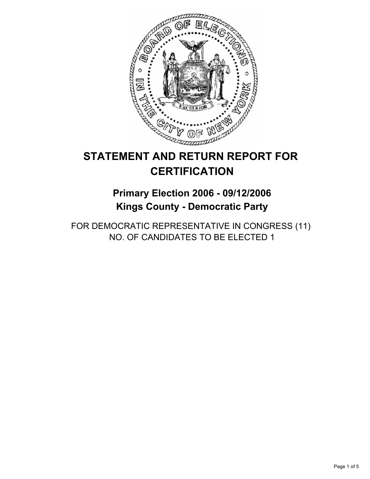

# **STATEMENT AND RETURN REPORT FOR CERTIFICATION**

# **Primary Election 2006 - 09/12/2006 Kings County - Democratic Party**

FOR DEMOCRATIC REPRESENTATIVE IN CONGRESS (11) NO. OF CANDIDATES TO BE ELECTED 1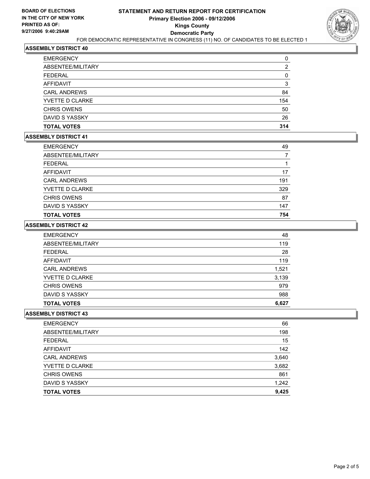

# **ASSEMBLY DISTRICT 40**

| <b>EMERGENCY</b>    |     |
|---------------------|-----|
| ABSENTEE/MILITARY   | רי  |
| <b>FEDERAL</b>      |     |
| AFFIDAVIT           |     |
| <b>CARL ANDREWS</b> | 84  |
| YVETTE D CLARKE     | 154 |
| <b>CHRIS OWENS</b>  | 50  |
| DAVID S YASSKY      | 26  |
| <b>TOTAL VOTES</b>  | 314 |

## **ASSEMBLY DISTRICT 41**

| <b>EMERGENCY</b>    | 49  |
|---------------------|-----|
| ABSENTEE/MILITARY   |     |
| <b>FEDERAL</b>      |     |
| AFFIDAVIT           | 17  |
| <b>CARL ANDREWS</b> | 191 |
| YVETTE D CLARKE     | 329 |
| <b>CHRIS OWENS</b>  | 87  |
| DAVID S YASSKY      | 147 |
| <b>TOTAL VOTES</b>  | 754 |

#### **ASSEMBLY DISTRICT 42**

| 48    |
|-------|
| 119   |
| 28    |
| 119   |
| 1,521 |
| 3,139 |
| 979   |
| 988   |
| 6,627 |
|       |

## **ASSEMBLY DISTRICT 43**

| 66    |
|-------|
| 198   |
| 15    |
| 142   |
| 3,640 |
| 3,682 |
| 861   |
| 1,242 |
| 9,425 |
|       |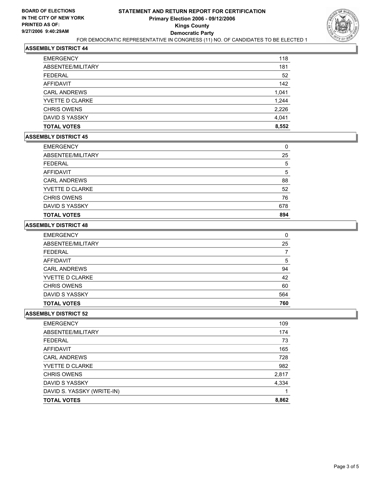

# **ASSEMBLY DISTRICT 44**

| <b>EMERGENCY</b>    | 118   |
|---------------------|-------|
| ABSENTEE/MILITARY   | 181   |
| <b>FEDERAL</b>      | 52    |
| AFFIDAVIT           | 142   |
| <b>CARL ANDREWS</b> | 1,041 |
| YVETTE D CLARKE     | 1,244 |
| <b>CHRIS OWENS</b>  | 2,226 |
| DAVID S YASSKY      | 4,041 |
| <b>TOTAL VOTES</b>  | 8,552 |

## **ASSEMBLY DISTRICT 45**

| <b>EMERGENCY</b>    |     |
|---------------------|-----|
| ABSENTEE/MILITARY   | 25  |
| FEDERAL             | 5   |
| AFFIDAVIT           | 5   |
| <b>CARL ANDREWS</b> | 88  |
| YVETTE D CLARKE     | 52  |
| <b>CHRIS OWENS</b>  | 76  |
| DAVID S YASSKY      | 678 |
| <b>TOTAL VOTES</b>  | 894 |

#### **ASSEMBLY DISTRICT 48**

| <b>EMERGENCY</b>       | 0   |
|------------------------|-----|
| ABSENTEE/MILITARY      | 25  |
| <b>FEDERAL</b>         |     |
| AFFIDAVIT              | 5   |
| <b>CARL ANDREWS</b>    | 94  |
| <b>YVETTE D CLARKE</b> | 42  |
| <b>CHRIS OWENS</b>     | 60  |
| DAVID S YASSKY         | 564 |
| <b>TOTAL VOTES</b>     | 760 |

## **ASSEMBLY DISTRICT 52**

| <b>EMERGENCY</b>           | 109   |
|----------------------------|-------|
| ABSENTEE/MILITARY          | 174   |
| <b>FEDERAL</b>             | 73    |
| AFFIDAVIT                  | 165   |
| <b>CARL ANDREWS</b>        | 728   |
| <b>YVETTE D CLARKE</b>     | 982   |
| <b>CHRIS OWENS</b>         | 2,817 |
| DAVID S YASSKY             | 4,334 |
| DAVID S. YASSKY (WRITE-IN) |       |
| <b>TOTAL VOTES</b>         | 8,862 |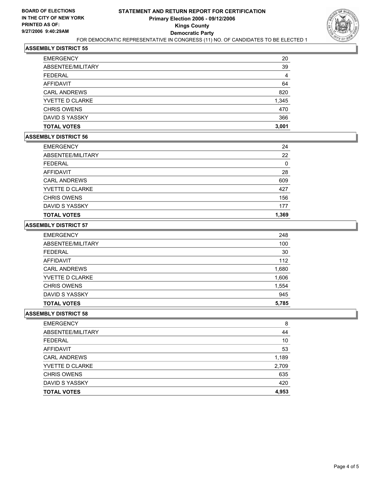

# **ASSEMBLY DISTRICT 55**

| <b>EMERGENCY</b>    | 20    |
|---------------------|-------|
| ABSENTEE/MILITARY   | 39    |
| <b>FEDERAL</b>      | 4     |
| AFFIDAVIT           | 64    |
| <b>CARL ANDREWS</b> | 820   |
| YVETTE D CLARKE     | 1,345 |
| <b>CHRIS OWENS</b>  | 470   |
| DAVID S YASSKY      | 366   |
| <b>TOTAL VOTES</b>  | 3,001 |

## **ASSEMBLY DISTRICT 56**

| <b>EMERGENCY</b>       | 24    |
|------------------------|-------|
| ABSENTEE/MILITARY      | 22    |
| <b>FEDERAL</b>         | 0     |
| AFFIDAVIT              | 28    |
| <b>CARL ANDREWS</b>    | 609   |
| <b>YVETTE D CLARKE</b> | 427   |
| <b>CHRIS OWENS</b>     | 156   |
| DAVID S YASSKY         | 177   |
| <b>TOTAL VOTES</b>     | 1,369 |

## **ASSEMBLY DISTRICT 57**

| <b>EMERGENCY</b>       | 248   |
|------------------------|-------|
| ABSENTEE/MILITARY      | 100   |
| <b>FEDERAL</b>         | 30    |
| AFFIDAVIT              | 112   |
| <b>CARL ANDREWS</b>    | 1,680 |
| <b>YVETTE D CLARKE</b> | 1,606 |
| <b>CHRIS OWENS</b>     | 1,554 |
| DAVID S YASSKY         | 945   |
| <b>TOTAL VOTES</b>     | 5,785 |
|                        |       |

## **ASSEMBLY DISTRICT 58**

| 8     |
|-------|
| 44    |
| 10    |
| 53    |
| 1,189 |
| 2,709 |
| 635   |
| 420   |
| 4,953 |
|       |